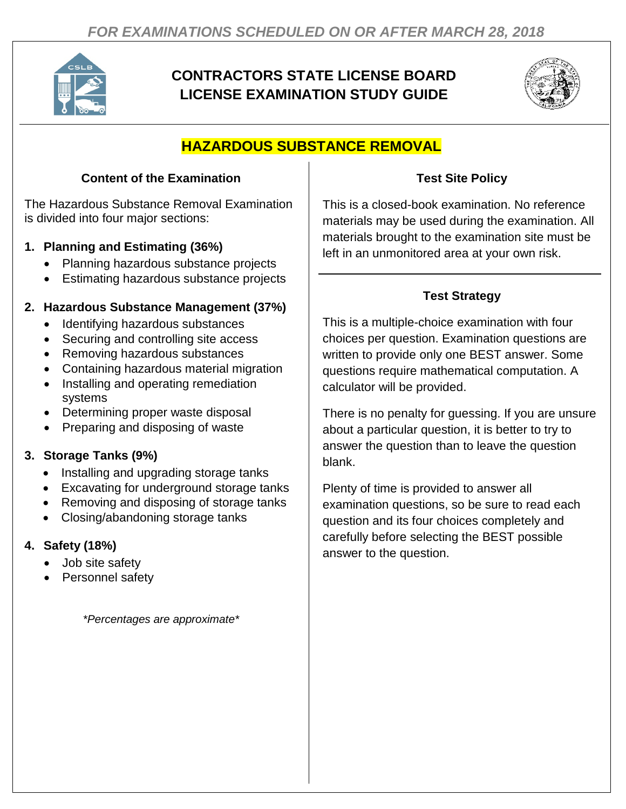

# **CONTRACTORS STATE LICENSE BOARD LICENSE EXAMINATION STUDY GUIDE**



# **HAZARDOUS SUBSTANCE REMOVAL**

# **Content of the Examination**

The Hazardous Substance Removal Examination is divided into four major sections:

# **1. Planning and Estimating (36%)**

- Planning hazardous substance projects
- Estimating hazardous substance projects

### **2. Hazardous Substance Management (37%)**

- Identifying hazardous substances
- Securing and controlling site access
- Removing hazardous substances
- Containing hazardous material migration
- Installing and operating remediation systems
- Determining proper waste disposal
- Preparing and disposing of waste

# **3. Storage Tanks (9%)**

- Installing and upgrading storage tanks
- Excavating for underground storage tanks
- Removing and disposing of storage tanks
- Closing/abandoning storage tanks

# **4. Safety (18%)**

- Job site safety
- Personnel safety

*\*Percentages are approximate\**

### **Test Site Policy**

This is a closed-book examination. No reference materials may be used during the examination. All materials brought to the examination site must be left in an unmonitored area at your own risk.

# **Test Strategy**

This is a multiple-choice examination with four choices per question. Examination questions are written to provide only one BEST answer. Some questions require mathematical computation. A calculator will be provided.

There is no penalty for guessing. If you are unsure about a particular question, it is better to try to answer the question than to leave the question blank.

Plenty of time is provided to answer all examination questions, so be sure to read each question and its four choices completely and carefully before selecting the BEST possible answer to the question.